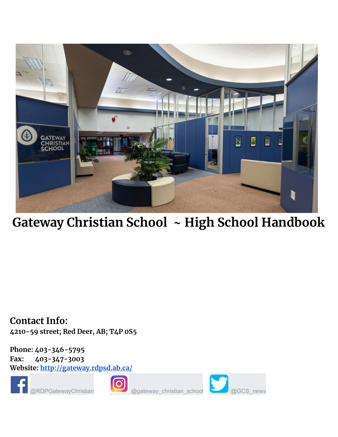

**Gateway Christian School ~ High School Handbook**

**Contact Info: 4210-59 street; Red Deer, AB; T4P 0S5**

**Phone: 403-346-5795 Fax: 403-347-3003 Website: <http://gateway.rdpsd.ab.ca/>**



@RDPGatewayChristian @gateway\_christian\_school @GCS\_news



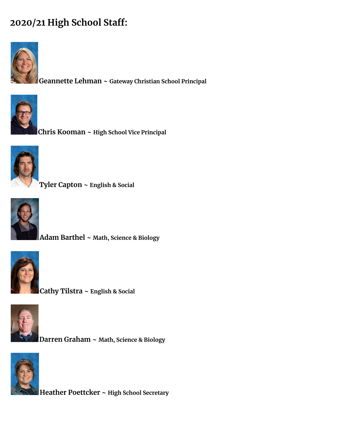#### **2020/21 High School Staff:**



**Geannette Lehman ~ Gateway Christian School Principal**



**Chris Kooman ~ High School Vice Principal**



**Tyler Capton ~ English & Social**



**Adam Barthel ~ Math, Science & Biology**



**Cathy Tilstra ~ English & Social**



**Darren Graham ~ Math, Science & Biology**



**Heather Poettcker ~ High School Secretary**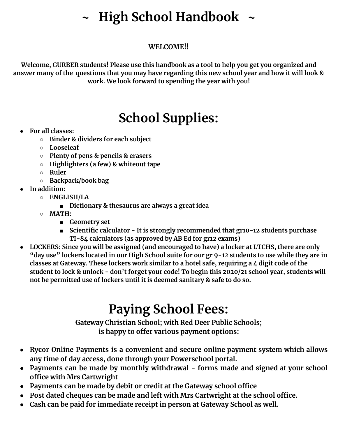#### **~ High School Handbook ~**

#### **WELCOME!!**

**Welcome, GURBER students! Please use this handbook as a tool to help you get you organized and** answer many of the questions that you may have regarding this new school year and how it will look & **work. We look forward to spending the year with you!**

#### **School Supplies:**

- **● For all classes:**
	- **○ Binder & dividers for each subject**
	- **○ Looseleaf**
	- **○ Plenty of pens & pencils & erasers**
	- **○ Highlighters (a few) & whiteout tape**
	- **○ Ruler**
	- **○ Backpack/book bag**
- **● In addition:**
	- **○ ENGLISH/LA**
		- **■ Dictionary & thesaurus are always a great idea**
	- **○ MATH:**
		- **■ Geometry set**
		- **■ Scientific calculator - It is strongly recommended that gr10-12 students purchase TI-84 calculators (as approved by AB Ed for gr12 exams)**
- **● LOCKERS: Since you will be assigned (and encouraged to have) a locker at LTCHS, there are only** "day use" lockers located in our High School suite for our gr 9-12 students to use while they are in **classes at Gateway. These lockers work similar to a hotel safe, requiring a 4 digit code of the** student to lock & unlock - don't forget your code! To begin this 2020/21 school year, students will **not be permitted use of lockers until it is deemed sanitary & safe to do so.**

#### **Paying School Fees:**

**Gateway Christian School; with Red Deer Public Schools; is happy to offer various payment options:**

- **● Rycor Online Payments is a convenient and secure online payment system which allows any time of day access, done through your Powerschool portal.**
- **● Payments can be made by monthly withdrawal - forms made and signed at your school office with Mrs Cartwright**
- **● Payments can be made by debit or credit at the Gateway school office**
- **● Post dated cheques can be made and left with Mrs Cartwright at the school office.**
- **● Cash can be paid for immediate receipt in person at Gateway School as well.**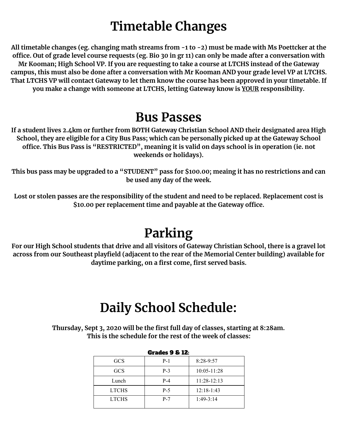#### **Timetable Changes**

All timetable changes (eg. changing math streams from -1 to -2) must be made with Ms Poettcker at the office. Out of grade level course requests (eg. Bio 30 in gr 11) can only be made after a conversation with Mr Kooman; High School VP. If you are requesting to take a course at LTCHS instead of the Gateway campus, this must also be done after a conversation with Mr Kooman AND your grade level VP at LTCHS. That LTCHS VP will contact Gateway to let them know the course has been approved in your timetable. If **you make a change with someone at LTCHS, letting Gateway know is YOUR responsibility.**

#### **Bus Passes**

**If a student lives 2.4km or further from BOTH Gateway Christian School AND their designated area High** School, they are eligible for a City Bus Pass; which can be personally picked up at the Gateway School **office. This Bus Pass is "RESTRICTED", meaning it is valid on days school is in operation (ie. not weekends or holidays).**

This bus pass may be upgraded to a "STUDENT" pass for \$100.00; meaing it has no restrictions and can **be used any day of the week.**

Lost or stolen passes are the responsibility of the student and need to be replaced. Replacement cost is **\$10.00 per replacement time and payable at the Gateway office.**

#### **Parking**

For our High School students that drive and all visitors of Gateway Christian School, there is a gravel lot **across from our Southeast playfield (adjacent to the rear of the Memorial Center building) available for daytime parking, on a first come, first served basis.**

#### **Daily School Schedule:**

**Thursday, Sept 3, 2020 will be the first full day of classes, starting at 8:28am. This is the schedule for the rest of the week of classes:**

|              | <b>Grades 9 &amp; 12:</b> |               |  |  |  |  |  |  |  |  |  |
|--------------|---------------------------|---------------|--|--|--|--|--|--|--|--|--|
| <b>GCS</b>   | $P-1$                     | $8:28-9:57$   |  |  |  |  |  |  |  |  |  |
| <b>GCS</b>   | $P-3$                     | 10:05-11:28   |  |  |  |  |  |  |  |  |  |
| Lunch        | $P-4$                     | $11:28-12:13$ |  |  |  |  |  |  |  |  |  |
| <b>LTCHS</b> | $P-5$                     | $12:18-1:43$  |  |  |  |  |  |  |  |  |  |
| <b>LTCHS</b> | $P-7$                     | $1:49-3:14$   |  |  |  |  |  |  |  |  |  |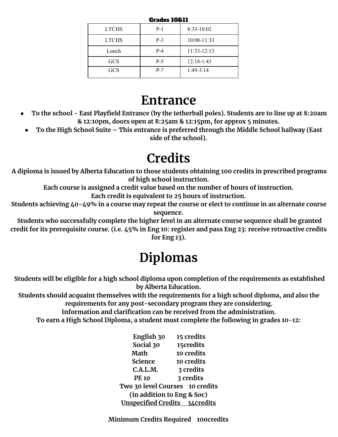| Grades 10&11 |       |                 |  |  |  |  |  |  |  |  |
|--------------|-------|-----------------|--|--|--|--|--|--|--|--|
| <b>LTCHS</b> | $P-1$ | $8:33-10:02$    |  |  |  |  |  |  |  |  |
| <b>LTCHS</b> | $P-3$ | $10:08 - 11:33$ |  |  |  |  |  |  |  |  |
| Lunch        | $P-4$ | $11:33 - 12:13$ |  |  |  |  |  |  |  |  |
| <b>GCS</b>   | $P-5$ | $12:18-1:43$    |  |  |  |  |  |  |  |  |
| <b>GCS</b>   | $P-7$ | $1:49-3:14$     |  |  |  |  |  |  |  |  |

#### **Entrance**

- To the school East Playfield Entrance (by the tetherball poles). Students are to line up at 8:20am **& 12:10pm, doors open at 8:25am & 12:15pm, for approx 5 minutes.**
- **● To the High School Suite – This entrance is preferred through the Middle School hallway (East side of the school).**

#### **Credits**

**A diploma is issued by Alberta Education to those students obtaining 100 credits in prescribed programs of high school instruction.**

**Each course is assigned a credit value based on the number of hours of instruction. Each credit is equivalent to 25 hours of instruction.**

Students achieving 40-49% in a course may repeat the course or elect to continue in an alternate course **sequence.**

**Students who successfully complete the higher level in an alternate course sequence shall be granted** credit for its prerequisite course. (i.e. 45% in Eng 10: register and pass Eng 23: receive retroactive credits **for Eng 13).**

#### **Diplomas**

**Students will be eligible for a high school diploma upon completion of the requirements as established by Alberta Education.**

**Students should acquaint themselves with the requirements for a high school diploma, and also the requirements for any post-secondary program they are considering.**

**Information and clarification can be received from the administration.**

**To earn a High School Diploma, a student must complete the following in grades 10-12:**

**English 30 15 credits Social 30 15credits Math 10 credits Science 10 credits C.A.L.M. 3 credits PE 10 3 credits Two 30 level Courses 10 credits (in addition to Eng & Soc) Unspecified Credits 34credits**

**Minimum Credits Required 100credits**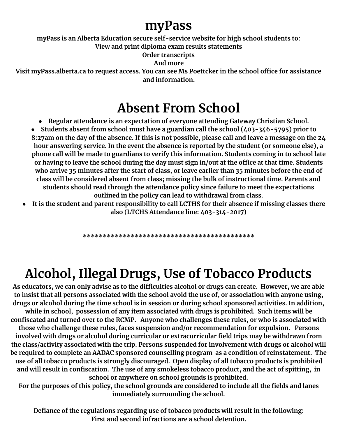#### **myPass**

**myPass is an Alberta Education secure self-service website for high school students to:**

**View and print diploma exam results statements**

**Order transcripts**

**And more**

**Visit myPass.alberta.ca to request access. You can see Ms Poettcker in the school office for assistance and information.**

#### **Absent From School**

**● Regular attendance is an expectation of everyone attending Gateway Christian School.**

**● Students absent from school must have a guardian call the school (403-346-5795) prior to** 8:27am on the day of the absence. If this is not possible, please call and leave a message on the 24 **hour answering service. In the event the absence is reported by the student (or someone else), a phone call will be made to guardians to verify this information. Students coming in to school late** or having to leave the school during the day must sign in/out at the office at that time. Students who arrive 35 minutes after the start of class, or leave earlier than 35 minutes before the end of **class will be considered absent from class; missing the bulk of instructional time. Parents and students should read through the attendance policy since failure to meet the expectations outlined in the policy can lead to withdrawal from class.**

It is the student and parent responsibility to call LCTHS for their absence if missing classes there **also (LTCHS Attendance line: 403-314-2017)**

**\*\*\*\*\*\*\*\*\*\*\*\*\*\*\*\*\*\*\*\*\*\*\*\*\*\*\*\*\*\*\*\*\*\*\*\*\*\*\*\*\*\*\***

## **Alcohol, Illegal Drugs, Use of Tobacco Products**

As educators, we can only advise as to the difficulties alcohol or drugs can create. However, we are able to insist that all persons associated with the school avoid the use of, or association with anyone using, **drugs or alcohol during the time school is in session or during school sponsored activities. In addition, while in school, possession of any item associated with drugs is prohibited. Such items will be confiscated and turned over to the RCMP. Anyone who challenges these rules, or who is associated with those who challenge these rules, faces suspension and/or recommendation for expulsion. Persons involved with drugs or alcohol during curricular or extracurricular field trips may be withdrawn from the class/activity associated with the trip. Persons suspended for involvement with drugs or alcohol will be required to complete an AADAC sponsored counselling program as a condition of reinstatement. The use of all tobacco products is strongly discouraged. Open display of all tobacco products is prohibited** and will result in confiscation. The use of any smokeless tobacco product, and the act of spitting, in **school or anywhere on school grounds is prohibited.**

For the purposes of this policy, the school grounds are considered to include all the fields and lanes **immediately surrounding the school.**

**Defiance of the regulations regarding use of tobacco products will result in the following: First and second infractions are a school detention.**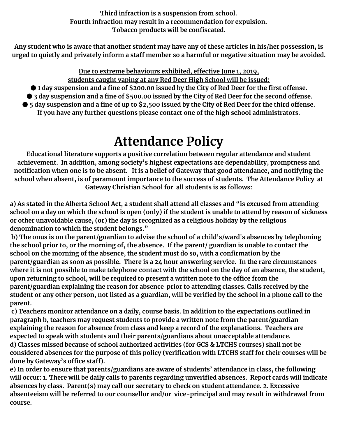**Third infraction is a suspension from school. Fourth infraction may result in a recommendation for expulsion. Tobacco products will be confiscated.**

Any student who is aware that another student may have any of these articles in his/her possession, is urged to quietly and privately inform a staff member so a harmful or negative situation may be avoided.

**Due to extreme behaviours exhibited, effective June 1, 2019,**

**students caught vaping at any Red Deer High School will be issued:**

● 1 day suspension and a fine of \$200.00 issued by the City of Red Deer for the first offense.

● 3 day suspension and a fine of \$500.00 issued by the City of Red Deer for the second offense.

 $\bullet$  5 day suspension and a fine of up to \$2,500 issued by the City of Red Deer for the third offense. **If you have any further questions please contact one of the high school administrators.**

#### **Attendance Policy**

**Educational literature supports a positive correlation between regular attendance and student achievement. In addition, among society's highest expectations are dependability, promptness and** notification when one is to be absent. It is a belief of Gateway that good attendance, and notifying the **school when absent, is of paramount importance to the success of students. The Attendance Policy at Gateway Christian School for all students is as follows:**

a) As stated in the Alberta School Act, a student shall attend all classes and "is excused from attending school on a day on which the school is open (only) if the student is unable to attend by reason of sickness **or other unavoidable cause, (or) the day is recognized as a religious holiday by the religious denomination to which the student belongs."**

**b) The onus is on the parent/guardian to advise the school of a child's/ward's absences by telephoning** the school prior to, or the morning of, the absence. If the parent/ guardian is unable to contact the **school on the morning of the absence, the student must do so, with a confirmation by the parent/guardian as soon as possible. There is a 24 hour answering service. In the rare circumstances** where it is not possible to make telephone contact with the school on the day of an absence, the student, **upon returning to school, will be required to present a written note to the office from the parent/guardian explaining the reason for absence prior to attending classes. Calls received by the** student or any other person, not listed as a guardian, will be verified by the school in a phone call to the **parent.**

**c) Teachers monitor attendance on a daily, course basis. In addition to the expectations outlined in paragraph b, teachers may request students to provide a written note from the parent/guardian explaining the reason for absence from class and keep a record of the explanations. Teachers are expected to speak with students and their parents/guardians about unacceptable attendance. d) Classes missed because of school authorized activities (for GCS & LTCHS courses) shall not be** considered absences for the purpose of this policy (verification with LTCHS staff for their courses will be **done by Gateway's office staff).**

**e) In order to ensure that parents/guardians are aware of students' attendance in class, the following** will occur: 1. There will be daily calls to parents regarding unverified absences. Report cards will indicate **absences by class. Parent(s) may call our secretary to check on student attendance. 2. Excessive absenteeism will be referred to our counsellor and/or vice-principal and may result in withdrawal from course.**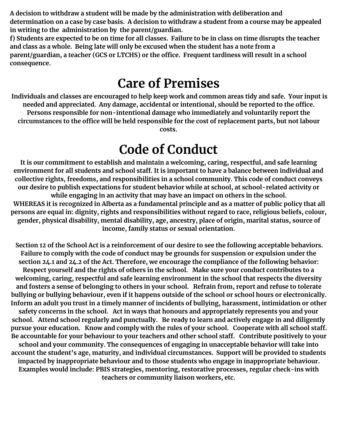**A decision to withdraw a student will be made by the administration with deliberation and** determination on a case by case basis. A decision to withdraw a student from a course may be appealed **in writing to the administration by the parent/guardian.**

f) Students are expected to be on time for all classes. Failure to be in class on time disrupts the teacher **and class as a whole. Being late will only be excused when the student has a note from a parent/guardian, a teacher (GCS or LTCHS) or the office. Frequent tardiness will result in a school consequence.**

#### **Care of Premises**

Individuals and classes are encouraged to help keep work and common areas tidy and safe. Your input is **needed and appreciated. Any damage, accidental or intentional, should be reported to the office. Persons responsible for non-intentional damage who immediately and voluntarily report the circumstances to the office will be held responsible for the cost of replacement parts, but not labour costs.**

#### **Code of Conduct**

**It is our commitment to establish and maintain a welcoming, caring, respectful, and safe learning environment for all students and school staff. It is important to have a balance between individual and collective rights, freedoms, and responsibilities in a school community. This code of conduct conveys our desire to publish expectations for student behavior while at school, at school-related activity or while engaging in an activity that may have an impact on others in the school.** WHEREAS it is recognized in Alberta as a fundamental principle and as a matter of public policy that all **persons are equal in: dignity, rights and responsibilities without regard to race, religious beliefs, colour, gender, physical disability, mental disability, age, ancestry, place of origin, marital status, source of income, family status or sexual orientation.**

Section 12 of the School Act is a reinforcement of our desire to see the following acceptable behaviors. **Failure to comply with the code of conduct may be grounds for suspension or expulsion under the section 24.1 and 24.2 of the Act. Therefore, we encourage the compliance of the following behavior: Respect yourself and the rights of others in the school. Make sure your conduct contributes to a welcoming, caring, respectful and safe learning environment in the school that respects the diversity** and fosters a sense of belonging to others in your school. Refrain from, report and refuse to tolerate bullying or bullying behaviour, even if it happens outside of the school or school hours or electronically. **Inform an adult you trust in a timely manner of incidents of bullying, harassment, intimidation or other safety concerns in the school. Act in ways that honours and appropriately represents you and your school. Attend school regularly and punctually. Be ready to learn and actively engage in and diligently pursue your education. Know and comply with the rules of your school. Cooperate with all school staff. Be accountable for your behaviour to your teachers and other school staff. Contribute positively to your school and your community. The consequences of engaging in unacceptable behavior will take into account the student's age, maturity, and individual circumstances. Support will be provided to students impacted by inappropriate behaviour and to those students who engage in inappropriate behaviour. Examples would include: PBIS strategies, mentoring, restorative processes, regular check-ins with teachers or community liaison workers, etc.**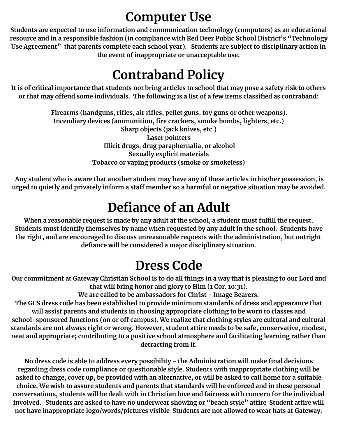#### **Computer Use**

**Students are expected to use information and communication technology (computers) as an educational resource and in a responsible fashion (in compliance with Red Deer Public School District's "Technology Use Agreement" that parents complete each school year). Students are subject to disciplinary action in the event of inappropriate or unacceptable use.**

#### **Contraband Policy**

It is of critical importance that students not bring articles to school that may pose a safety risk to others or that may offend some individuals. The following is a list of a few items classified as contraband:

> **Firearms (handguns, rifles, air rifles, pellet guns, toy guns or other weapons). Incendiary devices (ammunition, fire crackers, smoke bombs, lighters, etc.) Sharp objects (jack knives, etc.) Laser pointers Illicit drugs, drug paraphernalia, or alcohol Sexually explicit materials Tobacco or vaping products (smoke or smokeless)**

Any student who is aware that another student may have any of these articles in his/her possession, is urged to quietly and privately inform a staff member so a harmful or negative situation may be avoided.

#### **Defiance of an Adult**

**When a reasonable request is made by any adult at the school, a student must fulfill the request. Students must identify themselves by name when requested by any adult in the school. Students have the right, and are encouraged to discuss unreasonable requests with the administration, but outright defiance will be considered a major disciplinary situation.**

#### **Dress Code**

Our commitment at Gateway Christian School is to do all things in a way that is pleasing to our Lord and **that will bring honor and glory to Him (1 Cor. 10:31).**

**We are called to be ambassadors for Christ - Image Bearers.**

**The GCS dress code has been established to provide minimum standards of dress and appearance that will assist parents and students in choosing appropriate clothing to be worn to classes and school-sponsored functions (on or off campus). We realize that clothing styles are cultural and cultural standards are not always right or wrong. However, student attire needs to be safe, conservative, modest, neat and appropriate; contributing to a positive school atmosphere and facilitating learning rather than detracting from it.**

**No dress code is able to address every possibility - the Administration will make final decisions regarding dress code compliance or questionable style. Students with inappropriate clothing will be** asked to change, cover up, be provided with an alternative, or will be asked to call home for a suitable **choice. We wish to assure students and parents that standards will be enforced and in these personal conversations, students will be dealt with in Christian love and fairness with concern for the individual involved. Students are asked to have no underwear showing or "beach style" attire Student attire will not have inappropriate logo/words/pictures visible Students are not allowed to wear hats at Gateway.**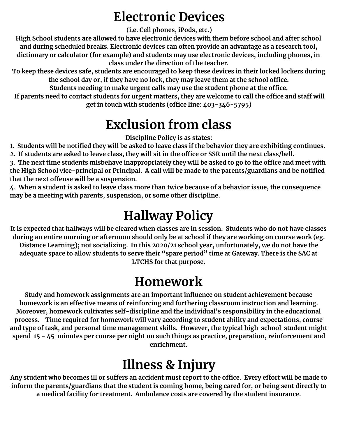#### **Electronic Devices**

**(i.e. Cell phones, iPods, etc.)**

**High School students are allowed to have electronic devices with them before school and after school and during scheduled breaks. Electronic devices can often provide an advantage as a research tool, dictionary or calculator (for example) and students may use electronic devices, including phones, in class under the direction of the teacher.**

**To keep these devices safe, students are encouraged to keep these devices in their locked lockers during the school day or, if they have no lock, they may leave them at the school office.**

**Students needing to make urgent calls may use the student phone at the office.**

If parents need to contact students for urgent matters, they are welcome to call the office and staff will **get in touch with students (office line: 403-346-5795)**

#### **Exclusion from class**

**Discipline Policy is as states:**

1. Students will be notified they will be asked to leave class if the behavior they are exhibiting continues. 2. If students are asked to leave class, they will sit in the office or SSR until the next class/bell.

3. The next time students misbehave inappropriately they will be asked to go to the office and meet with **the High School vice-principal or Principal. A call will be made to the parents/guardians and be notified that the next offense will be a suspension.**

4. When a student is asked to leave class more than twice because of a behavior issue, the consequence **may be a meeting with parents, suspension, or some other discipline.**

#### **Hallway Policy**

It is expected that hallways will be cleared when classes are in session. Students who do not have classes during an entire morning or afternoon should only be at school if they are working on course work (eg. **Distance Learning); not socializing. In this 2020/21 school year, unfortunately, we do not have the** adequate space to allow students to serve their "spare period" time at Gateway. There is the SAC at **LTCHS for that purpose.**

## **Homework**

**Study and homework assignments are an important influence on student achievement because homework is an effective means of reinforcing and furthering classroom instruction and learning. Moreover, homework cultivates self-discipline and the individual's responsibility in the educational process. Time required for homework will vary according to student ability and expectations, course and type of task, and personal time management skills. However, the typical high school student might spend 15 - 45 minutes per course per night on such things as practice, preparation, reinforcement and enrichment.**

# **Illness & Injury**

Any student who becomes ill or suffers an accident must report to the office. Every effort will be made to **inform the parents/guardians that the student is coming home, being cared for, or being sent directly to a medical facility for treatment. Ambulance costs are covered by the student insurance.**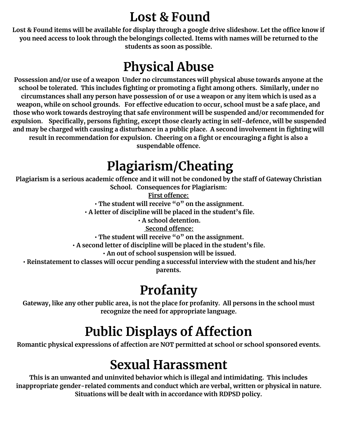#### **Lost & Found**

Lost & Found items will be available for display through a google drive slideshow. Let the office know if **you need access to look through the belongings collected. Items with names will be returned to the students as soon as possible.**

#### **Physical Abuse**

**Possession and/or use of a weapon Under no circumstances will physical abuse towards anyone at the school be tolerated. This includes fighting or promoting a fight among others. Similarly, under no** circumstances shall any person have possession of or use a weapon or any item which is used as a **weapon, while on school grounds. For effective education to occur, school must be a safe place, and those who work towards destroying that safe environment will be suspended and/or recommended for expulsion. Specifically, persons fighting, except those clearly acting in self-defence, will be suspended** and may be charged with causing a disturbance in a public place. A second involvement in fighting will **result in recommendation for expulsion. Cheering on a fight or encouraging a fight is also a suspendable offence.**

#### **Plagiarism/Cheating**

Plagiarism is a serious academic offence and it will not be condoned by the staff of Gateway Christian **School. Consequences for Plagiarism:**

**First offence: • The student will receive "0" on the assignment.**

**• A letter of discipline will be placed in the student's file.**

**• A school detention.**

**Second offence:**

**• The student will receive "0" on the assignment.**

**• A second letter of discipline will be placed in the student's file.**

**• An out of school suspension will be issued.**

**• Reinstatement to classes will occur pending a successful interview with the student and his/her parents.**

## **Profanity**

Gateway, like any other public area, is not the place for profanity. All persons in the school must **recognize the need for appropriate language.**

## **Public Displays of Affection**

**Romantic physical expressions of affection are NOT permitted at school or school sponsored events.**

## **Sexual Harassment**

**This is an unwanted and uninvited behavior which is illegal and intimidating. This includes inappropriate gender-related comments and conduct which are verbal, written or physical in nature. Situations will be dealt with in accordance with RDPSD policy.**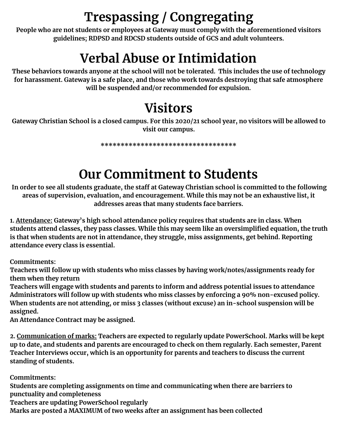# **Trespassing / Congregating**

**People who are not students or employees at Gateway must comply with the aforementioned visitors guidelines; RDPSD and RDCSD students outside of GCS and adult volunteers.**

#### **Verbal Abuse or Intimidation**

**These behaviors towards anyone at the school will not be tolerated. This includes the use of technology for harassment. Gateway is a safe place, and those who work towards destroying that safe atmosphere will be suspended and/or recommended for expulsion.**

#### **Visitors**

Gateway Christian School is a closed campus. For this 2020/21 school year, no visitors will be allowed to **visit our campus.**

**\*\*\*\*\*\*\*\*\*\*\*\*\*\*\*\*\*\*\*\*\*\*\*\*\*\*\*\*\*\*\*\*\*\***

#### **Our Commitment to Students**

In order to see all students graduate, the staff at Gateway Christian school is committed to the following **areas of supervision, evaluation, and encouragement. While this may not be an exhaustive list, it addresses areas that many students face barriers.**

**1. Attendance: Gateway's high school attendance policy requires that students are in class. When students attend classes, they pass classes. While this may seem like an oversimplified equation, the truth is that when students are not in attendance, they struggle, miss assignments, get behind. Reporting attendance every class is essential.**

**Commitments:**

**Teachers will follow up with students who miss classes by having work/notes/assignments ready for them when they return**

**Teachers will engage with students and parents to inform and address potential issues to attendance Administrators will follow up with students who miss classes by enforcing a 90% non-excused policy. When students are not attending, or miss 3 classes (without excuse) an in-school suspension will be assigned.**

**An Attendance Contract may be assigned.**

**2. Communication of marks: Teachers are expected to regularly update PowerSchool. Marks will be kept up to date, and students and parents are encouraged to check on them regularly. Each semester, Parent Teacher Interviews occur, which is an opportunity for parents and teachers to discuss the current standing of students.**

**Commitments:**

**Students are completing assignments on time and communicating when there are barriers to punctuality and completeness**

**Teachers are updating PowerSchool regularly**

**Marks are posted a MAXIMUM of two weeks after an assignment has been collected**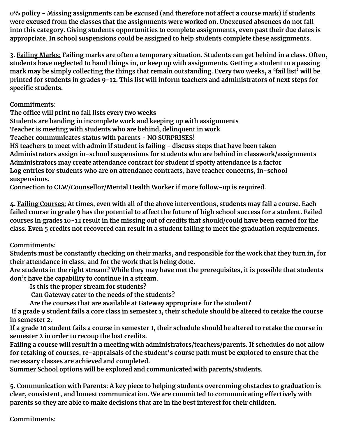**0% policy - Missing assignments can be excused (and therefore not affect a course mark) if students were excused from the classes that the assignments were worked on. Unexcused absences do not fall into this category. Giving students opportunities to complete assignments, even past their due dates is appropriate. In school suspensions could be assigned to help students complete these assignments.**

3. Failing Marks: Failing marks are often a temporary situation. Students can get behind in a class. Often, students have neglected to hand things in, or keep up with assignments. Getting a student to a passing mark may be simply collecting the things that remain outstanding. Every two weeks, a 'fail list' will be **printed for students in grades 9-12. This list will inform teachers and administrators of next steps for specific students.**

**Commitments:**

**The office will print no fail lists every two weeks**

**Students are handing in incomplete work and keeping up with assignments**

**Teacher is meeting with students who are behind, delinquent in work**

**Teacher communicates status with parents - NO SURPRISES!**

**HS teachers to meet with admin if student is failing - discuss steps that have been taken Administrators assign in-school suspensions for students who are behind in classwork/assignments Administrators may create attendance contract for student if spotty attendance is a factor Log entries for students who are on attendance contracts, have teacher concerns, in-school suspensions.**

**Connection to CLW/Counsellor/Mental Health Worker if more follow-up is required.**

4. Failing Courses: At times, even with all of the above interventions, students may fail a course. Each failed course in grade 9 has the potential to affect the future of high school success for a student. Failed courses in grades 10-12 result in the missing out of credits that should/could have been earned for the **class. Even 5 credits not recovered can result in a student failing to meet the graduation requirements.**

**Commitments:**

Students must be constantly checking on their marks, and responsible for the work that they turn in, for **their attendance in class, and for the work that is being done.**

Are students in the right stream? While they may have met the prerequisites, it is possible that students **don't have the capability to continue in a stream.**

**Is this the proper stream for students?**

**Can Gateway cater to the needs of the students?**

**Are the courses that are available at Gateway appropriate for the student?**

If a grade 9 student fails a core class in semester 1, their schedule should be altered to retake the course **in semester 2.**

If a grade 10 student fails a course in semester 1, their schedule should be altered to retake the course in **semester 2 in order to recoup the lost credits.**

**Failing a course will result in a meeting with administrators/teachers/parents. If schedules do not allow for retaking of courses, re-appraisals of the student's course path must be explored to ensure that the necessary classes are achieved and completed.**

**Summer School options will be explored and communicated with parents/students.**

**5. Communication with Parents: A key piece to helping students overcoming obstacles to graduation is clear, consistent, and honest communication. We are committed to communicating effectively with parents so they are able to make decisions that are in the best interest for their children.**

**Commitments:**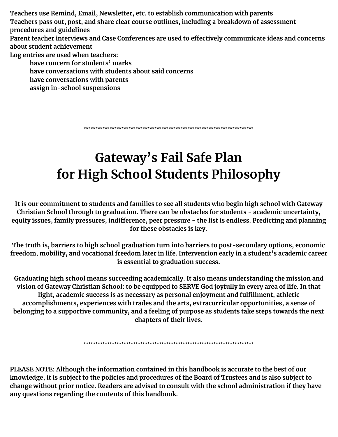**Teachers use Remind, Email, Newsletter, etc. to establish communication with parents Teachers pass out, post, and share clear course outlines, including a breakdown of assessment procedures and guidelines Parent teacher interviews and Case Conferences are used to effectively communicate ideas and concerns about student achievement Log entries are used when teachers: have concern for students' marks have conversations with students about said concerns have conversations with parents assign in-school suspensions**

\*\*\*\*\*\*\*\*\*\*\*\*\*\*\*\*\*\*\*\*\*\*\*\*\*\*\*\*\*\*\*\*\*\*\*\*\*\*\*\*\*\*\*\*\*\*\*\*\*\*\*\*\*\*\*\*\*\*\*\*\*\*\*\*\*\*\*\*\*\*\*\*

#### **Gateway's Fail Safe Plan for High School Students Philosophy**

It is our commitment to students and families to see all students who begin high school with Gateway **Christian School through to graduation. There can be obstacles for students - academic uncertainty, equity issues, family pressures, indifference, peer pressure - the list is endless. Predicting and planning for these obstacles is key.**

**The truth is, barriers to high school graduation turn into barriers to post-secondary options, economic freedom, mobility, and vocational freedom later in life. Intervention early in a student's academic career is essential to graduation success.**

**Graduating high school means succeeding academically. It also means understanding the mission and** vision of Gateway Christian School: to be equipped to SERVE God joyfully in every area of life. In that **light, academic success is as necessary as personal enjoyment and fulfillment, athletic accomplishments, experiences with trades and the arts, extracurricular opportunities, a sense of belonging to a supportive community, and a feeling of purpose as students take steps towards the next chapters of their lives.**

\*\*\*\*\*\*\*\*\*\*\*\*\*\*\*\*\*\*\*\*\*\*\*\*\*\*\*\*\*\*\*\*\*\*\*\*\*\*\*\*\*\*\*\*\*\*\*\*\*\*\*\*\*\*\*\*\*\*\*\*\*\*\*\*\*\*\*\*\*\*\*\*

**PLEASE NOTE: Although the information contained in this handbook is accurate to the best of our** knowledge, it is subject to the policies and procedures of the Board of Trustees and is also subject to **change without prior notice. Readers are advised to consult with the school administration if they have any questions regarding the contents of this handbook.**